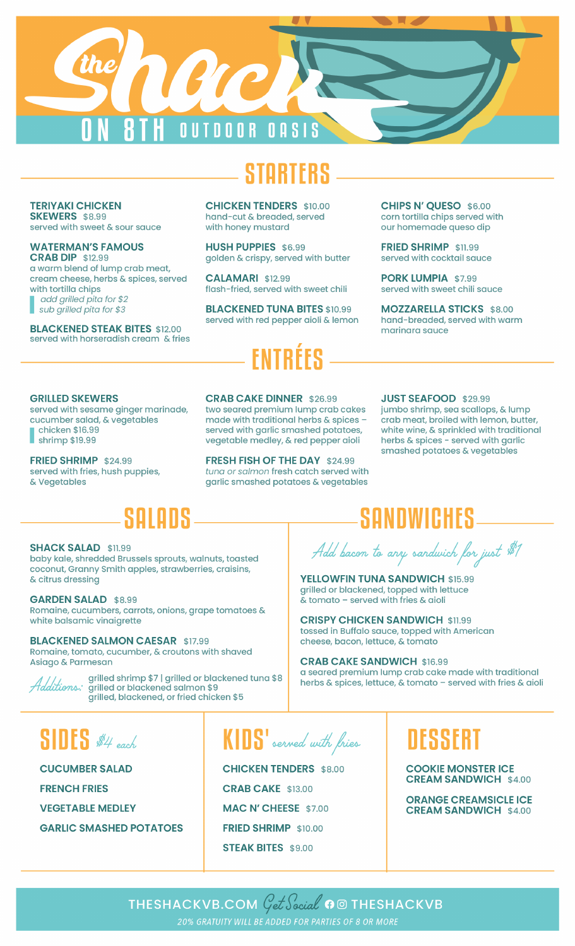

**TERIYAKI CHICKEN SKEWERS** \$8.99 served with sweet & sour sauce

**WATERMAN'S FAMOUS CRAB DIP \$12.99** 

a warm blend of lump crab meat, cream cheese, herbs & spices, served with tortilla chips add grilled pita for \$2 sub grilled pita for \$3

**BLACKENED STEAK BITES \$12.00** served with horseradish cream & fries **CHICKEN TENDERS \$10.00** hand-cut & breaded, served with honey mustard

**HUSH PUPPIES \$6.99** golden & crispy, served with butter

**CALAMARI \$12.99** flash-fried, served with sweet chili

**BLACKENED TUNA BITES \$10.99** served with red pepper aioli & lemon

CHIPS N' OUESO \$6.00 corn tortilla chips served with our homemade queso dip

FRIED SHRIMP \$11.99 served with cocktail squce

PORK LUMPIA \$7.99 served with sweet chili sauce

**MOZZARELLA STICKS \$8.00** hand-breaded, served with warm marinara sauce

### **GRILLED SKEWERS**

served with sesame ginger marinade, cucumber salad, & vegetables chicken \$16.99

shrimp \$19.99

FRIED SHRIMP \$24.99 served with fries, hush puppies, & Vegetables

**CRAB CAKE DINNER \$26.99** 

two seared premium lump crab cakes made with traditional herbs & spices served with garlic smashed potatoes, vegetable medley, & red pepper aioli

FRESH FISH OF THE DAY \$24.99 tuna or salmon fresh catch served with garlic smashed potatoes & vegetables

#### **JUST SEAFOOD \$29.99**

jumbo shrimp, sea scallops, & lump crab meat, broiled with lemon, butter, white wine, & sprinkled with traditional herbs & spices - served with garlic smashed potatoes & vegetables

# SOFORS

#### **SHACK SALAD \$11.99**

baby kale, shredded Brussels sprouts, walnuts, toasted coconut, Granny Smith apples, strawberries, craisins, & citrus dressing

#### **GARDEN SALAD \$8.99**

Romaine, cucumbers, carrots, onions, grape tomatoes & white balsamic vinaigrette

### **BLACKENED SALMON CAESAR \$17.99**

Romaine, tomato, cucumber, & croutons with shaved Asiago & Parmesan



grilled shrimp \$7 | grilled or blackened tuna \$8 Additions: grilled or blackened salmon \$9 grilled, blackened, or fried chicken \$5

**SANDWICHES** 

Add bacon to any sandwich for just \$1

YELLOWFIN TUNA SANDWICH \$15.99 grilled or blackened, topped with lettuce  $\tilde{\textbf{x}}$  tomato – served with fries & aioli

**CRISPY CHICKEN SANDWICH \$11.99** tossed in Buffalo sauce, topped with American cheese, bacon, lettuce, & tomato

**CRAB CAKE SANDWICH \$16.99** a seared premium lump crab cake made with traditional herbs & spices, lettuce, & tomato - served with fries & aioli

## $SIDES$  #4 each

**CUCUMBER SALAD FRENCH FRIES VEGETABLE MEDLEY GARLIC SMASHED POTATOES** 

KIDS' served with fries

**CHICKEN TENDERS \$8.00 CRAB CAKE \$13.00 MAC N' CHEESE \$7.00** FRIED SHRIMP \$10.00 **STEAK BITES \$9.00** 

## DESSERT

**COOKIE MONSTER ICE CREAM SANDWICH \$4.00** 

**ORANGE CREAMSICLE ICE CREAM SANDWICH \$4.00** 

THESHACKVB.COM  $\mathcal{G}et \mathcal{S}ecial$  o  $\Box$  Theshackvb 20% GRATUITY WILL BE ADDED FOR PARTIES OF 8 OR MORE